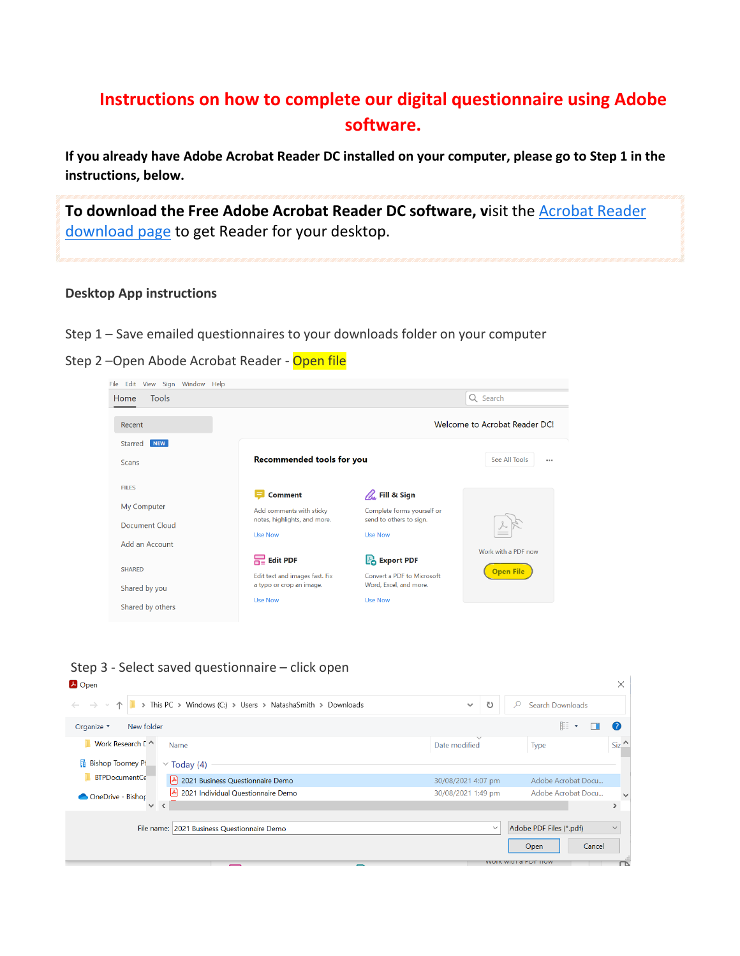## **Instructions on how to complete our digital questionnaire using Adobe software.**

**If you already have Adobe Acrobat Reader DC installed on your computer, please go to Step 1 in the instructions, below.**

**To download the Free Adobe Acrobat Reader DC software, v**isit the [Acrobat](https://get.adobe.com/reader/) Reader [download](https://get.adobe.com/reader/) page to get Reader for your desktop.

## **Desktop App instructions**

- Step 1 Save emailed questionnaires to your downloads folder on your computer
- Step 2-Open Abode Acrobat Reader Open file

| File Edit View Sign Window Help |                                                            |                                                       |                               |
|---------------------------------|------------------------------------------------------------|-------------------------------------------------------|-------------------------------|
| <b>Tools</b><br>Home            |                                                            |                                                       | Q Search                      |
| Recent                          |                                                            |                                                       | Welcome to Acrobat Reader DC! |
| NEW<br>Starred                  |                                                            |                                                       |                               |
| <b>Scans</b>                    | Recommended tools for you                                  |                                                       | See All Tools<br>0.0.0        |
| <b>FILES</b>                    | <b>Comment</b>                                             | $\mathbb{Z}$ . Fill & Sign                            |                               |
| My Computer                     | Add comments with sticky<br>notes, highlights, and more.   | Complete forms yourself or<br>send to others to sign. |                               |
| Document Cloud                  | Use Now                                                    | <b>Use Now</b>                                        |                               |
| Add an Account                  |                                                            |                                                       | Work with a PDF now           |
|                                 | $R =$ Edit PDF                                             | <b>Po</b> Export PDF                                  |                               |
| <b>SHARED</b><br>Shared by you  | Edit text and images fast. Fix<br>a typo or crop an image. | Convert a PDF to Microsoft<br>Word, Excel, and more.  | <b>Open File</b>              |
| Shared by others                | <b>Use Now</b>                                             | <b>Use Now</b>                                        |                               |

Step 3 - Select saved questionnaire – click open

| <b>A</b> Open                                |                                                             |                    |                               | $\times$                 |
|----------------------------------------------|-------------------------------------------------------------|--------------------|-------------------------------|--------------------------|
| $\leftarrow$ $\rightarrow$ $\rightarrow$     | > This PC > Windows (C:) > Users > NatashaSmith > Downloads | ℧<br>$\checkmark$  | Search Downloads              |                          |
| New folder<br>Organize <b>v</b>              |                                                             |                    | 胆                             | (2)                      |
| Work Research [ ^                            | Name                                                        | Date modified      | Type                          | Si <sub>z</sub>          |
| <b>Bishop Toomey PL</b>                      | $\vee$ Today (4)                                            |                    |                               |                          |
| <b>BTPDocumentCe</b>                         | $\vert$ 2021 Business Questionnaire Demo                    | 30/08/2021 4:07 pm | Adobe Acrobat Docu            |                          |
| OneDrive - Bishop                            | る<br>2021 Individual Questionnaire Demo                     | 30/08/2021 1:49 pm | Adobe Acrobat Docu            |                          |
| $\checkmark$<br>$\left\langle \right\rangle$ |                                                             |                    |                               |                          |
|                                              | File name: 2021 Business Questionnaire Demo                 | $\checkmark$       | Adobe PDF Files (*.pdf)       | $\checkmark$             |
|                                              |                                                             |                    | Cancel<br>Open                |                          |
|                                              |                                                             |                    | <b>VVUIK WILLE OF LITTIUW</b> | $\overline{\phantom{a}}$ |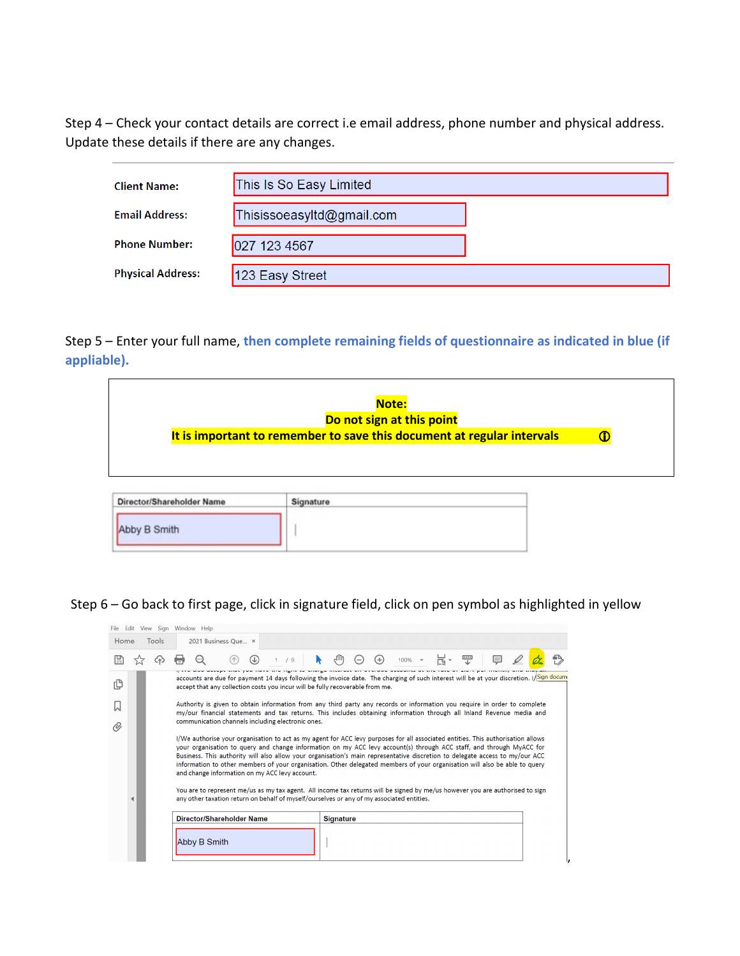Step 4 – Check your contact details are correct i.e email address, phone number and physical address. Update these details if there are any changes.

| <b>Client Name:</b>      | This Is So Easy Limited   |  |
|--------------------------|---------------------------|--|
| <b>Email Address:</b>    | Thisissoeasyltd@gmail.com |  |
| <b>Phone Number:</b>     | 027 123 4567              |  |
| <b>Physical Address:</b> | 123 Easy Street           |  |

Step 5 – Enter your full name, **then complete remaining fields of questionnaire as indicated in blue (if appliable).**

|                           | Note:<br>Do not sign at this point                                     |   |
|---------------------------|------------------------------------------------------------------------|---|
|                           | It is important to remember to save this document at regular intervals | O |
|                           |                                                                        |   |
|                           |                                                                        |   |
|                           |                                                                        |   |
| Director/Shareholder Name | Signature                                                              |   |

Step 6 – Go back to first page, click in signature field, click on pen symbol as highlighted in yellow

|      |                                                                                                                                                                                                                           | File Edit View Sign Window Help                                                                                                                                                                                                                                                                                                                                                                                                                                                                                                                                          |                                                                                                                                                                                                                            |       |                  |                          |  |                                |  |                             |   |  |  |
|------|---------------------------------------------------------------------------------------------------------------------------------------------------------------------------------------------------------------------------|--------------------------------------------------------------------------------------------------------------------------------------------------------------------------------------------------------------------------------------------------------------------------------------------------------------------------------------------------------------------------------------------------------------------------------------------------------------------------------------------------------------------------------------------------------------------------|----------------------------------------------------------------------------------------------------------------------------------------------------------------------------------------------------------------------------|-------|------------------|--------------------------|--|--------------------------------|--|-----------------------------|---|--|--|
| Home | Tools                                                                                                                                                                                                                     |                                                                                                                                                                                                                                                                                                                                                                                                                                                                                                                                                                          | 2021 Business Que ×                                                                                                                                                                                                        |       |                  |                          |  |                                |  |                             |   |  |  |
|      |                                                                                                                                                                                                                           |                                                                                                                                                                                                                                                                                                                                                                                                                                                                                                                                                                          |                                                                                                                                                                                                                            | 1 / 9 | ήM               | $\left(\text{--}\right)$ |  | $\left( +\right)$ 100% $\star$ |  | $\mathbb{R}$ , $\mathbb{R}$ | 厚 |  |  |
| ſ₿   | accounts are due for payment 14 days following the invoice date. The charging of such interest will be at your discretion. I/Sign docume<br>accept that any collection costs you incur will be fully recoverable from me. |                                                                                                                                                                                                                                                                                                                                                                                                                                                                                                                                                                          |                                                                                                                                                                                                                            |       |                  |                          |  |                                |  |                             |   |  |  |
|      |                                                                                                                                                                                                                           | Authority is given to obtain information from any third party any records or information you require in order to complete<br>my/our financial statements and tax returns. This includes obtaining information through all Inland Revenue media and                                                                                                                                                                                                                                                                                                                       |                                                                                                                                                                                                                            |       |                  |                          |  |                                |  |                             |   |  |  |
| O)   |                                                                                                                                                                                                                           |                                                                                                                                                                                                                                                                                                                                                                                                                                                                                                                                                                          | communication channels including electronic ones.                                                                                                                                                                          |       |                  |                          |  |                                |  |                             |   |  |  |
|      |                                                                                                                                                                                                                           | I/We authorise your organisation to act as my agent for ACC levy purposes for all associated entities. This authorisation allows<br>your organisation to query and change information on my ACC levy account(s) through ACC staff, and through MyACC for<br>Business. This authority will also allow your organisation's main representative discretion to delegate access to my/our ACC<br>information to other members of your organisation. Other delegated members of your organisation will also be able to query<br>and change information on my ACC levy account. |                                                                                                                                                                                                                            |       |                  |                          |  |                                |  |                             |   |  |  |
|      |                                                                                                                                                                                                                           |                                                                                                                                                                                                                                                                                                                                                                                                                                                                                                                                                                          | You are to represent me/us as my tax agent. All income tax returns will be signed by me/us however you are authorised to sign<br>any other taxation return on behalf of myself/ourselves or any of my associated entities. |       |                  |                          |  |                                |  |                             |   |  |  |
|      |                                                                                                                                                                                                                           |                                                                                                                                                                                                                                                                                                                                                                                                                                                                                                                                                                          | Director/Shareholder Name                                                                                                                                                                                                  |       | <b>Signature</b> |                          |  |                                |  |                             |   |  |  |
|      |                                                                                                                                                                                                                           | Abby B Smith                                                                                                                                                                                                                                                                                                                                                                                                                                                                                                                                                             |                                                                                                                                                                                                                            |       |                  |                          |  |                                |  |                             |   |  |  |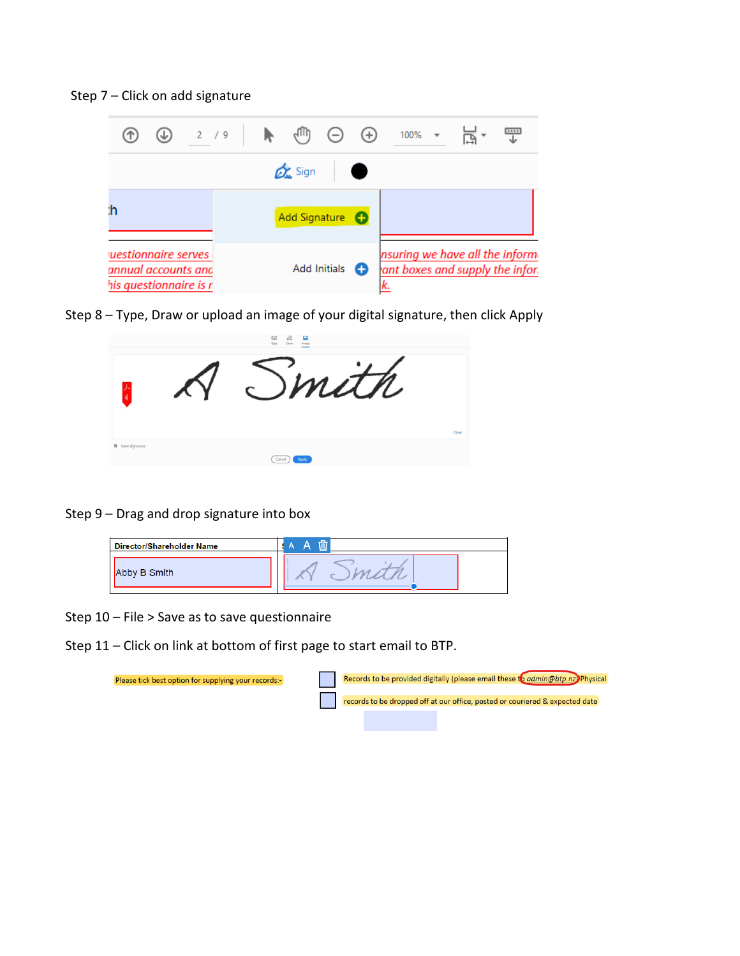Step 7 – Click on add signature

| $\circledast$ 2 /9 $\blacktriangleright$ ( $\circledast$ $\ominus$ $\circledast$<br>$\left( \mathrm{1}\right)$ |                                 |                     |   | $100\%$ $\star$                                                   |  | T |
|----------------------------------------------------------------------------------------------------------------|---------------------------------|---------------------|---|-------------------------------------------------------------------|--|---|
|                                                                                                                | $\mathcal{D}_{\mathbf{m}}$ Sign |                     |   |                                                                   |  |   |
| ħ                                                                                                              | Add Signature <b>C</b>          |                     |   |                                                                   |  |   |
| uestionnaire serves<br>annual accounts and<br>his questionnaire is r                                           |                                 | <b>Add Initials</b> | o | nsuring we have all the inform<br>ant boxes and supply the infor. |  |   |

Step 8 – Type, Draw or upload an image of your digital signature, then click Apply



Step 9 – Drag and drop signature into box



Step 10 – File > Save as to save questionnaire

Step 11 – Click on link at bottom of first page to start email to BTP.

| Please tick best option for supplying your records:- |  |  | Records to be provided digitally (please email these to admin@btp.nz) Physical |
|------------------------------------------------------|--|--|--------------------------------------------------------------------------------|
|                                                      |  |  | records to be dropped off at our office, posted or couriered & expected date   |
|                                                      |  |  |                                                                                |